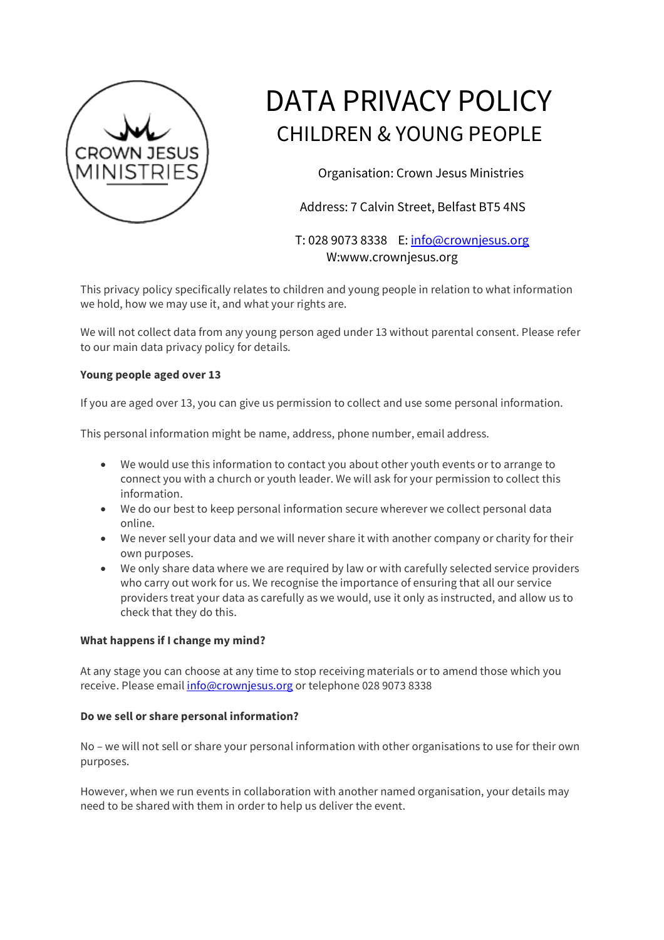

# DATA PRIVACY POLICY CHILDREN & YOUNG PEOPLE

Organisation: Crown Jesus Ministries

Address: 7 Calvin Street, Belfast BT5 4NS

T: 028 9073 8338 E: info@crownjesus.org W:www.crownjesus.org

This privacy policy specifically relates to children and young people in relation to what information we hold, how we may use it, and what your rights are.

We will not collect data from any young person aged under 13 without parental consent. Please refer to our main data privacy policy for details.

## **Young people aged over 13**

If you are aged over 13, you can give us permission to collect and use some personal information.

This personal information might be name, address, phone number, email address.

- We would use this information to contact you about other youth events or to arrange to connect you with a church or youth leader. We will ask for your permission to collect this information.
- We do our best to keep personal information secure wherever we collect personal data online.
- We never sell your data and we will never share it with another company or charity for their own purposes.
- We only share data where we are required by law or with carefully selected service providers who carry out work for us. We recognise the importance of ensuring that all our service providers treat your data as carefully as we would, use it only as instructed, and allow us to check that they do this.

## **What happens if I change my mind?**

At any stage you can choose at any time to stop receiving materials or to amend those which you receive. Please email info@crownjesus.org or telephone 028 9073 8338

#### **Do we sell or share personal information?**

No – we will not sell or share your personal information with other organisations to use for their own purposes.

However, when we run events in collaboration with another named organisation, your details may need to be shared with them in order to help us deliver the event.